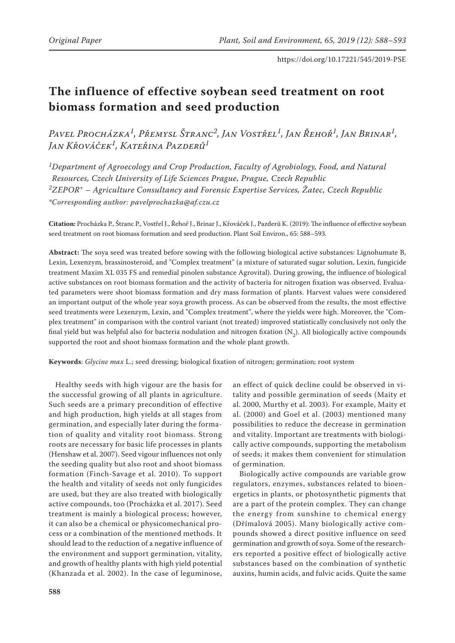# **The influence of effective soybean seed treatment on root biomass formation and seed production**

*Pavel Procházka1, Přemysl Štranc2, Jan Vostřel1, Jan Řehoř1, Jan Brinar1, Jan Křováček1, Kateřina Pazderů1*

*1Department of Agroecology and Crop Production, Faculty of Agrobiology, Food, and Natural Resources, Czech University of Life Sciences Prague, Prague, Czech Republic 2ZEPOR+ – Agriculture Consultancy and Forensic Expertise Services, Žatec, Czech Republic \*Corresponding author: pavelprochazka@af.czu.cz*

**Citation:** Procházka P., Štranc P., Vostřel J., Řehoř J., Brinar J., Křováček J., Pazderů K. (2019): The influence of effective soybean seed treatment on root biomass formation and seed production. Plant Soil Environ., 65: 588–593.

**Abstract:** The soya seed was treated before sowing with the following biological active substances: Lignohumate B, Lexin, Lexenzym, brassinosteroid, and "Complex treatment" (a mixture of saturated sugar solution, Lexin, fungicide treatment Maxim XL 035 FS and remedial pinolen substance Agrovital). During growing, the influence of biological active substances on root biomass formation and the activity of bacteria for nitrogen fixation was observed. Evaluated parameters were shoot biomass formation and dry mass formation of plants. Harvest values were considered an important output of the whole year soya growth process. As can be observed from the results, the most effective seed treatments were Lexenzym, Lexin, and "Complex treatment", where the yields were high. Moreover, the "Complex treatment" in comparison with the control variant (not treated) improved statistically conclusively not only the final yield but was helpful also for bacteria nodulation and nitrogen fixation  $(N_2)$ . All biologically active compounds supported the root and shoot biomass formation and the whole plant growth.

**Keywords**: *Glycine max* L.; seed dressing; biological fixation of nitrogen; germination; root system

Healthy seeds with high vigour are the basis for the successful growing of all plants in agriculture. Such seeds are a primary precondition of effective and high production, high yields at all stages from germination, and especially later during the formation of quality and vitality root biomass. Strong roots are necessary for basic life processes in plants (Henshaw et al. 2007). Seed vigour influences not only the seeding quality but also root and shoot biomass formation (Finch-Savage et al. 2010). To support the health and vitality of seeds not only fungicides are used, but they are also treated with biologically active compounds, too (Procházka et al. 2017). Seed treatment is mainly a biological process; however, it can also be a chemical or physicomechanical process or a combination of the mentioned methods. It should lead to the reduction of a negative influence of the environment and support germination, vitality, and growth of healthy plants with high yield potential (Khanzada et al. 2002). In the case of leguminose,

an effect of quick decline could be observed in vitality and possible germination of seeds (Maity et al. 2000, Murthy et al. 2003). For example, Maity et al. (2000) and Goel et al. (2003) mentioned many possibilities to reduce the decrease in germination and vitality. Important are treatments with biologically active compounds, supporting the metabolism of seeds; it makes them convenient for stimulation of germination.

Biologically active compounds are variable grow regulators, enzymes, substances related to bioenergetics in plants, or photosynthetic pigments that are a part of the protein complex. They can change the energy from sunshine to chemical energy (Dřímalová 2005). Many biologically active compounds showed a direct positive influence on seed germination and growth of soya. Some of the researchers reported a positive effect of biologically active substances based on the combination of synthetic auxins, humin acids, and fulvic acids. Quite the same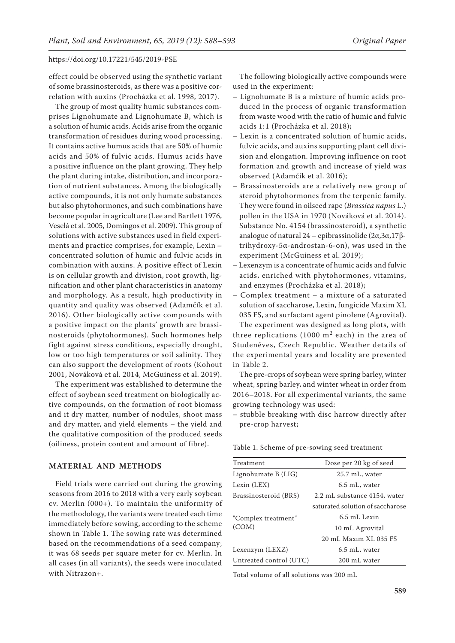effect could be observed using the synthetic variant of some brassinosteroids, as there was a positive correlation with auxins (Procházka et al. 1998, 2017).

The group of most quality humic substances comprises Lignohumate and Lignohumate B, which is a solution of humic acids. Acids arise from the organic transformation of residues during wood processing. It contains active humus acids that are 50% of humic acids and 50% of fulvic acids. Humus acids have a positive influence on the plant growing. They help the plant during intake, distribution, and incorporation of nutrient substances. Among the biologically active compounds, it is not only humate substances but also phytohormones, and such combinations have become popular in agriculture (Lee and Bartlett 1976, Veselá et al. 2005, Domingos et al. 2009). This group of solutions with active substances used in field experiments and practice comprises, for example, Lexin – concentrated solution of humic and fulvic acids in combination with auxins. A positive effect of Lexin is on cellular growth and division, root growth, lignification and other plant characteristics in anatomy and morphology. As a result, high productivity in quantity and quality was observed (Adamčík et al. 2016). Other biologically active compounds with a positive impact on the plants' growth are brassinosteroids (phytohormones). Such hormones help fight against stress conditions, especially drought, low or too high temperatures or soil salinity. They can also support the development of roots (Kohout 2001, Nováková et al. 2014, McGuiness et al. 2019).

The experiment was established to determine the effect of soybean seed treatment on biologically active compounds, on the formation of root biomass and it dry matter, number of nodules, shoot mass and dry matter, and yield elements – the yield and the qualitative composition of the produced seeds (oiliness, protein content and amount of fibre).

#### **Material and Methods**

Field trials were carried out during the growing seasons from 2016 to 2018 with a very early soybean cv. Merlin (000+). To maintain the uniformity of the methodology, the variants were treated each time immediately before sowing, according to the scheme shown in Table 1. The sowing rate was determined based on the recommendations of a seed company; it was 68 seeds per square meter for cv. Merlin. In all cases (in all variants), the seeds were inoculated with Nitrazon+.

The following biologically active compounds were used in the experiment:

- Lignohumate B is a mixture of humic acids produced in the process of organic transformation from waste wood with the ratio of humic and fulvic acids 1:1 (Procházka et al. 2018);
- Lexin is a concentrated solution of humic acids, fulvic acids, and auxins supporting plant cell division and elongation. Improving influence on root formation and growth and increase of yield was observed (Adamčík et al. 2016);
- Brassinosteroids are a relatively new group of steroid phytohormones from the terpenic family. They were found in oilseed rape (*Brassica napus* L.) pollen in the USA in 1970 (Nováková et al. 2014). Substance No. 4154 (brassinosteroid), a synthetic analogue of natural 24 – epibrassinolide (2α,3α,17βtrihydroxy-5α-androstan-6-on), was used in the experiment (McGuiness et al. 2019);
- Lexenzym is a concentrate of humic acids and fulvic acids, enriched with phytohormones, vitamins, and enzymes (Procházka et al. 2018);
- Complex treatment a mixture of a saturated solution of saccharose, Lexin, fungicide Maxim XL 035 FS, and surfactant agent pinolene (Agrovital).

The experiment was designed as long plots, with three replications (1000  $m<sup>2</sup>$  each) in the area of Studeněves, Czech Republic. Weather details of the experimental years and locality are presented in Table 2.

The pre-crops of soybean were spring barley, winter wheat, spring barley, and winter wheat in order from 2016–2018. For all experimental variants, the same growing technology was used:

– stubble breaking with disc harrow directly after pre-crop harvest;

Table 1. Scheme of pre-sowing seed treatment

| Dose per 20 kg of seed           |
|----------------------------------|
| 25.7 mL, water                   |
| 6.5 mL, water                    |
| 2.2 mL substance 4154, water     |
| saturated solution of saccharose |
| 6.5 mL Lexin                     |
| 10 mL Agrovital                  |
| 20 mL Maxim XL 035 FS            |
| 6.5 mL, water                    |
| 200 mL water                     |
|                                  |

Total volume of all solutions was 200 mL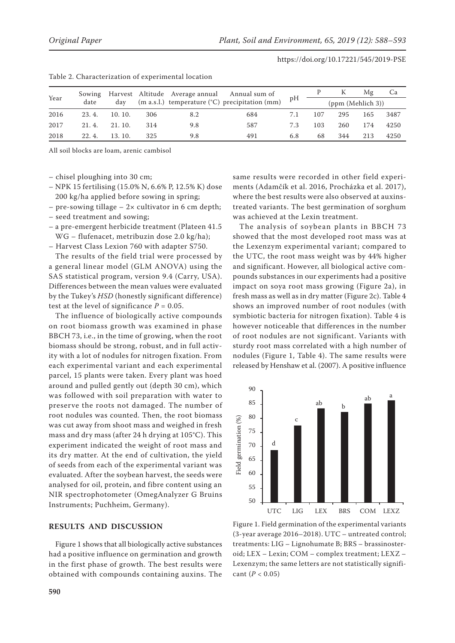| Year | Sowing |        |     |     | Harvest Altitude Average annual Annual sum of             | pН  |                   |     | Mg  | Ca   |
|------|--------|--------|-----|-----|-----------------------------------------------------------|-----|-------------------|-----|-----|------|
|      | date   | dav    |     |     | (m a.s.l.) temperature $({}^{\circ}C)$ precipitation (mm) |     | (ppm (Mehlich 3)) |     |     |      |
| 2016 | 23.4.  | 10.10. | 306 | 8.2 | 684                                                       | 7.1 | 107               | 295 | 165 | 3487 |
| 2017 | 21.4.  | 21.10. | 314 | 9.8 | 587                                                       | 7.3 | 103               | 260 | 174 | 4250 |
| 2018 | 22.4.  | 13.10. | 325 | 9.8 | 491                                                       | 6.8 | 68                | 344 | 213 | 4250 |

| Table 2. Characterization of experimental location |  |
|----------------------------------------------------|--|
|----------------------------------------------------|--|

All soil blocks are loam, arenic cambisol

– chisel ploughing into 30 cm;

- NPK 15 fertilising (15.0% N, 6.6% P, 12.5% K) dose 200 kg/ha applied before sowing in spring;
- $-$  pre-sowing tillage  $-$  2 $\times$  cultivator in 6 cm depth;
- seed treatment and sowing;
- a pre-emergent herbicide treatment (Plateen 41.5 WG – flufenacet, metribuzin dose 2.0 kg/ha);
- Harvest Class Lexion 760 with adapter S750.

The results of the field trial were processed by a general linear model (GLM ANOVA) using the SAS statistical program, version 9.4 (Carry, USA). Differences between the mean values were evaluated by the Tukey's *HSD* (honestly significant difference) test at the level of significance  $P = 0.05$ .

The influence of biologically active compounds on root biomass growth was examined in phase BBCH 73, i.e., in the time of growing, when the root biomass should be strong, robust, and in full activity with a lot of nodules for nitrogen fixation. From each experimental variant and each experimental parcel, 15 plants were taken. Every plant was hoed around and pulled gently out (depth 30 cm), which was followed with soil preparation with water to preserve the roots not damaged. The number of root nodules was counted. Then, the root biomass was cut away from shoot mass and weighed in fresh mass and dry mass (after 24 h drying at 105°C). This experiment indicated the weight of root mass and its dry matter. At the end of cultivation, the yield of seeds from each of the experimental variant was evaluated. After the soybean harvest, the seeds were analysed for oil, protein, and fibre content using an NIR spectrophotometer (OmegAnalyzer G Bruins Instruments; Puchheim, Germany).

# **Results and discussion**

Figure 1 shows that all biologically active substances had a positive influence on germination and growth in the first phase of growth. The best results were obtained with compounds containing auxins. The same results were recorded in other field experiments (Adamčík et al. 2016, Procházka et al. 2017), where the best results were also observed at auxinstreated variants. The best germination of sorghum was achieved at the Lexin treatment.

The analysis of soybean plants in BBCH 73 showed that the most developed root mass was at the Lexenzym experimental variant; compared to the UTC, the root mass weight was by 44% higher and significant. However, all biological active compounds substances in our experiments had a positive impact on soya root mass growing (Figure 2a), in fresh mass as well as in dry matter (Figure 2c). Table 4 shows an improved number of root nodules (with symbiotic bacteria for nitrogen fixation). Table 4 is however noticeable that differences in the number of root nodules are not significant. Variants with sturdy root mass correlated with a high number of nodules (Figure 1, Table 4). The same results were released by Henshaw et al. (2007). A positive influence



Figure 1. Field germination of the experimental variants (3-year average 2016–2018). UTC – untreated control; treatments: LIG – Lignohumate B; BRS – brassinosteroid; LEX – Lexin; COM – complex treatment; LEXZ – Lexenzym; the same letters are not statistically significant (*P* < 0.05)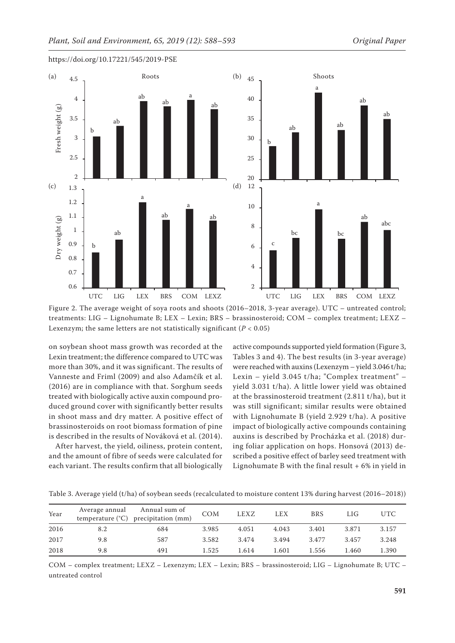

Figure 2. The average weight of soya roots and shoots (2016–2018, 3-year average). UTC – untreated control; treatments: LIG – Lignohumate B; LEX – Lexin; BRS – brassinosteroid; COM – complex treatment; LEXZ – Lexenzym; the same letters are not statistically significant  $(P < 0.05)$ 

on soybean shoot mass growth was recorded at the Lexin treatment; the difference compared to UTC was more than 30%, and it was significant. The results of Vanneste and Friml (2009) and also Adamčík et al. (2016) are in compliance with that. Sorghum seeds treated with biologically active auxin compound produced ground cover with significantly better results in shoot mass and dry matter. A positive effect of brassinosteroids on root biomass formation of pine is described in the results of Nováková et al. (2014).

After harvest, the yield, oiliness, protein content, and the amount of fibre of seeds were calculated for each variant. The results confirm that all biologically

active compounds supported yield formation (Figure 3, Tables 3 and 4). The best results (in 3-year average) were reached with auxins (Lexenzym – yield 3.046 t/ha; Lexin – yield 3.045 t/ha; "Complex treatment" – yield 3.031 t/ha). A little lower yield was obtained at the brassinosteroid treatment (2.811 t/ha), but it was still significant; similar results were obtained with Lignohumate B (yield 2.929 t/ha). A positive impact of biologically active compounds containing auxins is described by Procházka et al. (2018) during foliar application on hops. Honsová (2013) described a positive effect of barley seed treatment with Lignohumate B with the final result  $+6\%$  in yield in

| Year | Average annual | Annual sum of<br>temperature $(^{\circ}C)$ precipitation (mm) | <b>COM</b> | LEXZ  | <b>LEX</b> | <b>BRS</b> | LIG   | UTC   |
|------|----------------|---------------------------------------------------------------|------------|-------|------------|------------|-------|-------|
| 2016 | 8.2            | 684                                                           | 3.985      | 4.051 | 4.043      | 3.401      | 3.871 | 3.157 |
| 2017 | 9.8            | 587                                                           | 3.582      | 3.474 | 3.494      | 3.477      | 3.457 | 3.248 |
| 2018 | 9.8            | 491                                                           | 1.525      | 1.614 | 1.601      | 1.556      | l.460 | 1.390 |

Table 3. Average yield (t/ha) of soybean seeds (recalculated to moisture content 13% during harvest (2016–2018))

COM – complex treatment; LEXZ – Lexenzym; LEX – Lexin; BRS – brassinosteroid; LIG – Lignohumate B; UTC – untreated control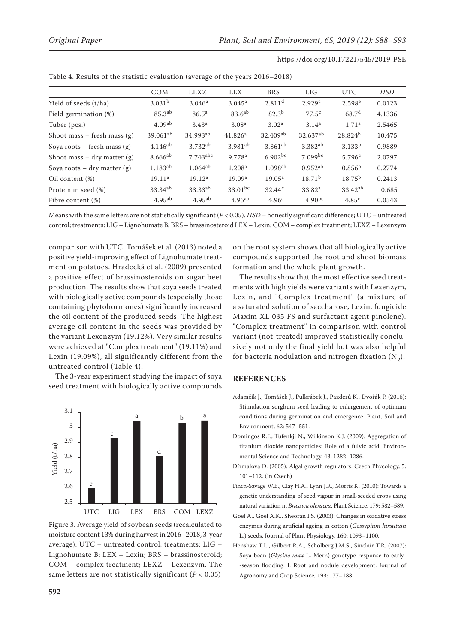|                               | <b>COM</b>         | <b>LEXZ</b>            | <b>LEX</b>          | <b>BRS</b>           | LIG                 | <b>UTC</b>         | HSD    |
|-------------------------------|--------------------|------------------------|---------------------|----------------------|---------------------|--------------------|--------|
| Yield of seeds (t/ha)         | 3.031 <sup>b</sup> | 3.046 <sup>a</sup>     | $3.045^a$           | $2.811$ <sup>d</sup> | 2.929c              | 2.598e             | 0.0123 |
| Field germination (%)         | 85.3 <sup>ab</sup> | 86.5 <sup>a</sup>      | 83.6 <sup>ab</sup>  | $82.3^{b}$           | 77.5 <sup>c</sup>   | 68.7 <sup>d</sup>  | 4.1336 |
| Tuber (pcs.)                  | 4.09 <sup>ab</sup> | 3.43 <sup>a</sup>      | 3.08 <sup>a</sup>   | 3.02 <sup>a</sup>    | 3.14 <sup>a</sup>   | 1.71 <sup>a</sup>  | 2.5465 |
| Shoot mass $-$ fresh mass (g) | $39.061^{ab}$      | 34.993ab               | 41.826 <sup>a</sup> | $32.409^{ab}$        | 32.637ab            | $28.824^{b}$       | 10.475 |
| Soya roots – fresh mass $(g)$ | $4.146^{ab}$       | $3.732^{ab}$           | $3.981^{ab}$        | $3.861^{ab}$         | 3.382 <sup>ab</sup> | 3.133 <sup>b</sup> | 0.9889 |
| Shoot mass $-$ dry matter (g) | $8.666^{ab}$       | $7.743$ <sup>abc</sup> | 9.778 <sup>a</sup>  | $6.902^{bc}$         | $7.099^{bc}$        | 5.796c             | 2.0797 |
| Soya roots $-$ dry matter (g) | $1.183^{ab}$       | $1.064^{ab}$           | 1.208 <sup>a</sup>  | $1.098^{ab}$         | $0.952^{ab}$        | 0.856 <sup>b</sup> | 0.2774 |
| Oil content (%)               | 19.11 <sup>a</sup> | 19.12 <sup>a</sup>     | 19.09 <sup>a</sup>  | 19.05 <sup>a</sup>   | $18.71^{b}$         | $18.75^{b}$        | 0.2413 |
| Protein in seed (%)           | $33.34^{ab}$       | 33.33 <sup>ab</sup>    | $33.01^{bc}$        | 32.44 <sup>c</sup>   | 33.82 <sup>a</sup>  | $33.42^{ab}$       | 0.685  |
| Fibre content (%)             | $4.95^{ab}$        | $4.95^{ab}$            | $4.95^{ab}$         | 4.96 <sup>a</sup>    | $4.90^{bc}$         | 4.85 <sup>c</sup>  | 0.0543 |

| Table 4. Results of the statistic evaluation (average of the years 2016-2018) |  |
|-------------------------------------------------------------------------------|--|
|-------------------------------------------------------------------------------|--|

Means with the same letters are not statistically significant (*P* < 0.05). *HSD* – honestly significant difference; UTC – untreated control; treatments: LIG – Lignohumate B; BRS – brassinosteroid LEX – Lexin; COM – complex treatment; LEXZ – Lexenzym

comparison with UTC. Tomášek et al. (2013) noted a positive yield-improving effect of Lignohumate treatment on potatoes. Hradecká et al. (2009) presented a positive effect of brassinosteroids on sugar beet production. The results show that soya seeds treated with biologically active compounds (especially those containing phytohormones) significantly increased the oil content of the produced seeds. The highest average oil content in the seeds was provided by the variant Lexenzym (19.12%). Very similar results were achieved at "Complex treatment" (19.11%) and Lexin (19.09%), all significantly different from the untreated control (Table 4).

The 3-year experiment studying the impact of soya seed treatment with biologically active compounds



Figure 3. Average yield of soybean seeds (recalculated to moisture content 13% during harvest in 2016–2018, 3-year average). UTC – untreated control; treatments: LIG – Lignohumate B; LEX – Lexin; BRS – brassinosteroid; COM – complex treatment; LEXZ – Lexenzym. The same letters are not statistically significant (*P* < 0.05)

on the root system shows that all biologically active compounds supported the root and shoot biomass formation and the whole plant growth.

The results show that the most effective seed treatments with high yields were variants with Lexenzym, Lexin, and "Complex treatment" (a mixture of a saturated solution of saccharose, Lexin, fungicide Maxim XL 035 FS and surfactant agent pinolene). "Complex treatment" in comparison with control variant (not-treated) improved statistically conclusively not only the final yield but was also helpful for bacteria nodulation and nitrogen fixation  $(N_2)$ .

## **References**

- Adamčík J., Tomášek J., Pulkrábek J., Pazderů K., Dvořák P. (2016): Stimulation sorghum seed leading to enlargement of optimum conditions during germination and emergence. Plant, Soil and Environment, 62: 547–551.
- Domingos R.F., Tufenkji N., Wilkinson K.J. (2009): Aggregation of titanium dioxide nanoparticles: Role of a fulvic acid. Environmental Science and Technology, 43: 1282–1286.
- Dřímalová D. (2005): Algal growth regulators. Czech Phycology, 5: 101–112. (In Czech)
- Finch-Savage W.E., Clay H.A., Lynn J.R., Morris K. (2010): Towards a genetic understanding of seed vigour in small-seeded crops using natural variation in *Brassica oleracea*. Plant Science, 179: 582–589.
- Goel A., Goel A.K., Sheoran I.S. (2003): Changes in oxidative stress enzymes during artificial ageing in cotton (*Gossypium hirsutum* L.) seeds. Journal of Plant Physiology, 160: 1093–1100.
- Henshaw T.L., Gilbert R.A., Scholberg J.M.S., Sinclair T.R. (2007): Soya bean (*Glycine max* L. Merr.) genotype response to early- -season flooding: I. Root and nodule development. Journal of Agronomy and Crop Science, 193: 177–188.